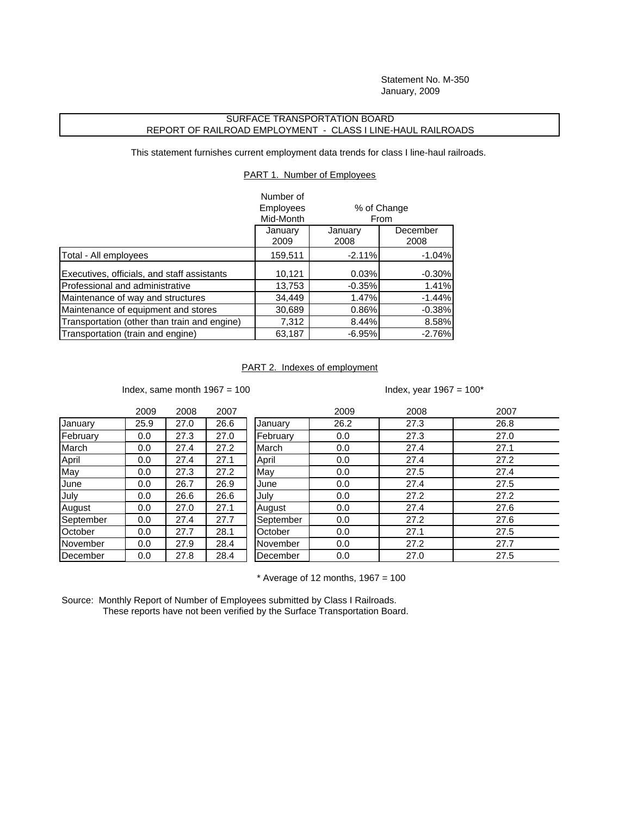Statement No. M-350 January, 2009

## SURFACE TRANSPORTATION BOARD REPORT OF RAILROAD EMPLOYMENT - CLASS I LINE-HAUL RAILROADS

This statement furnishes current employment data trends for class I line-haul railroads.

PART 1. Number of Employees

|                                              | Number of<br><b>Employees</b><br>Mid-Month |                 | % of Change<br>From |
|----------------------------------------------|--------------------------------------------|-----------------|---------------------|
|                                              | January<br>2009                            | January<br>2008 | December<br>2008    |
| Total - All employees                        | 159,511                                    | $-2.11%$        | $-1.04%$            |
| Executives, officials, and staff assistants  | 10,121                                     | 0.03%           | $-0.30%$            |
| Professional and administrative              | 13,753                                     | $-0.35%$        | 1.41%               |
| Maintenance of way and structures            | 34,449                                     | 1.47%           | $-1.44%$            |
| Maintenance of equipment and stores          | 30,689                                     | 0.86%           | $-0.38%$            |
| Transportation (other than train and engine) | 7,312                                      | 8.44%           | 8.58%               |
| Transportation (train and engine)            | 63,187                                     | $-6.95%$        | $-2.76%$            |

## PART 2. Indexes of employment

Index, same month  $1967 = 100$  Index, year  $1967 = 100^*$ 

|           | 2009 | 2008 | 2007 |           | 2009 | 2008 | 2007 |
|-----------|------|------|------|-----------|------|------|------|
| January   | 25.9 | 27.0 | 26.6 | January   | 26.2 | 27.3 | 26.8 |
| February  | 0.0  | 27.3 | 27.0 | February  | 0.0  | 27.3 | 27.0 |
| March     | 0.0  | 27.4 | 27.2 | March     | 0.0  | 27.4 | 27.1 |
| April     | 0.0  | 27.4 | 27.1 | April     | 0.0  | 27.4 | 27.2 |
| May       | 0.0  | 27.3 | 27.2 | May       | 0.0  | 27.5 | 27.4 |
| June      | 0.0  | 26.7 | 26.9 | June      | 0.0  | 27.4 | 27.5 |
| July      | 0.0  | 26.6 | 26.6 | July      | 0.0  | 27.2 | 27.2 |
| August    | 0.0  | 27.0 | 27.1 | August    | 0.0  | 27.4 | 27.6 |
| September | 0.0  | 27.4 | 27.7 | September | 0.0  | 27.2 | 27.6 |
| October   | 0.0  | 27.7 | 28.1 | October   | 0.0  | 27.1 | 27.5 |
| November  | 0.0  | 27.9 | 28.4 | November  | 0.0  | 27.2 | 27.7 |
| December  | 0.0  | 27.8 | 28.4 | December  | 0.0  | 27.0 | 27.5 |

 $*$  Average of 12 months, 1967 = 100

Source: Monthly Report of Number of Employees submitted by Class I Railroads. These reports have not been verified by the Surface Transportation Board.